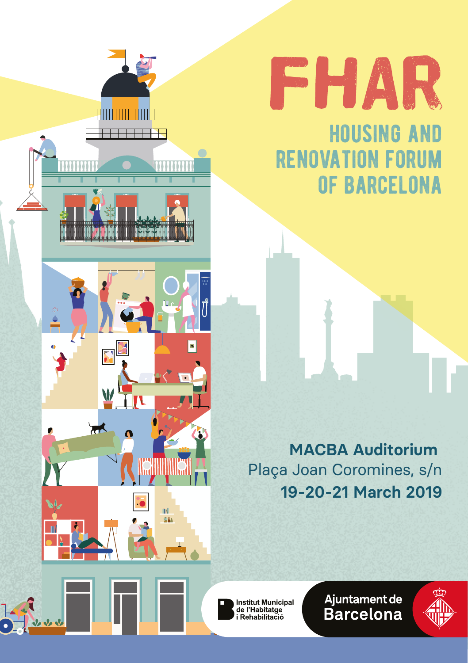



housing and renovation forum of barcelona

**19-20-21 March 2019 MACBA Auditorium**  Plaça Joan Coromines, s/n

Institut Municipal<br>de l'Habitatge as creasuases<br>i Rehabilitació

Ajuntament de<br>Barcelona

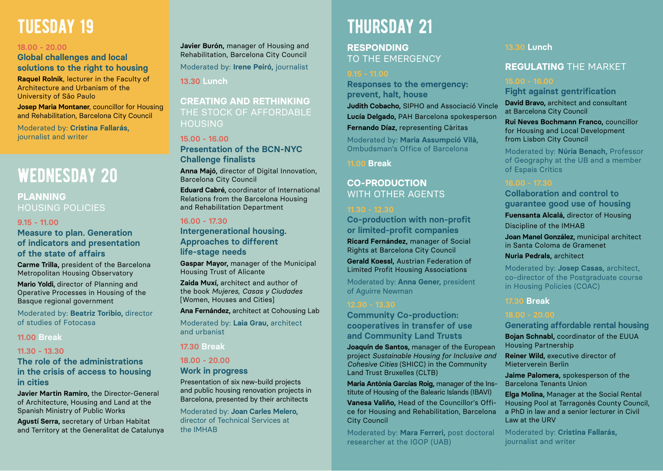# **TUESDAY 19**

### **18.00 - 20.00**

**Global challenges and local solutions to the right to housing Raquel Rolnik**, lecturer in the Faculty of Architecture and Urbanism of the University of São Paulo

**Josep Maria Montaner**, councillor for Housing and Rehabilitation, Barcelona City Council

Moderated by: **Cristina Fallarás,** journalist and writer

# WEDNESDAY 20

## **PLANNING** HOUSING POLICIES

#### **9.15 - 11.00**

**Measure to plan. Generation of indicators and presentation of the state of affairs**

**Carme Trilla,** president of the Barcelona Metropolitan Housing Observatory

**Mario Yoldi,** director of Planning and Operative Processes in Housing of the Basque regional government

Moderated by: **Beatriz Toribio,** director of studies of Fotocasa

### **11.00 Break**

### **11.30 - 13.30**

### **The role of the administrations in the crisis of access to housing in cities**

**Javier Martin Ramiro,** the Director-General of Architecture, Housing and Land at the Spanish Ministry of Public Works

**Agustí Serra,** secretary of Urban Habitat and Territory at the Generalitat de Catalunya **Javier Burón,** manager of Housing and Rehabilitation, Barcelona City Council Moderated by: **Irene Peiró,** journalist

**13.30 Lunch**

## **CREATING AND RETHINKING** THE STOCK OF AFFORDABLE HOUSING

# **15.00 - 16.00**

**Presentation of the BCN-NYC Challenge finalists**

**Anna Majó,** director of Digital Innovation, Barcelona City Council

**Eduard Cabré,** coordinator of International Relations from the Barcelona Housing and Rehabilitation Department

#### **16.00 - 17.30**

**Intergenerational housing. Approaches to different life-stage needs**

**Gaspar Mayor,** manager of the Municipal Housing Trust of Alicante

**Zaida Muxí,** architect and author of the book *Mujeres, Casas y Ciudades* [Women, Houses and Cities]

**Ana Fernández,** architect at Cohousing Lab

Moderated by: **Laia Grau,** architect and urbanist

### **17.30 Break**

### **18.00 - 20.00**

### **Work in progress**

Presentation of six new-build projects and public housing renovation projects in Barcelona, presented by their architects

Moderated by: **Joan Carles Melero,** director of Technical Services at the IMHAB

# thursday 21

**RESPONDING** TO THE EMERGENCY

**Responses to the emergency: prevent, halt, house Judith Cobacho,** SIPHO and Associació Vincle **Lucía Delgado,** PAH Barcelona spokesperson **Fernando Díaz,** representing Càritas

Moderated by: **Maria Assumpció Vilà,** Ombudsman's Office of Barcelona

**11.00 Break**

# **CO-PRODUCTION** WITH OTHER AGENTS

**Co-production with non-profit or limited-profit companies Ricard Fernández,** manager of Social Rights at Barcelona City Council

**Gerald Koessl,** Austrian Federation of Limited Profit Housing Associations

Moderated by: **Anna Gener,** president of Aguirre Newman

**Community Co-production: cooperatives in transfer of use and Community Land Trusts**

**Joaquín de Santos,** manager of the European project *Sustainable Housing for Inclusive and Cohesive Cities* (SHICC) in the Community Land Trust Bruxelles (CLTB)

**Maria Antònia Garcías Roig,** manager of the Institute of Housing of the Balearic Islands (IBAVI)

**Vanesa Valiño,** Head of the Councillor's Office for Housing and Rehabilitation, Barcelona City Council

Moderated by: **Mara Ferreri,** post doctoral researcher at the IGOP (UAB)

#### **13.30 Lunch**

# **REGULATING** THE MARKET

**Fight against gentrification**

**David Bravo,** architect and consultant at Barcelona City Council

**Rui Neves Bochmann Franco,** councillor for Housing and Local Development from Lisbon City Council

Moderated by: **Núria Benach,** Professor of Geography at the UB and a member of Espais Crítics

**Collaboration and control to guarantee good use of housing** 

**Fuensanta Alcalá,** director of Housing Discipline of the IMHAB

**Joan Manel González,** municipal architect in Santa Coloma de Gramenet

#### **Nuria Pedrals,** architect

Moderated by: **Josep Casas,** architect, co-director of the Postgraduate course in Housing Policies (COAC)

**17.30 Break**

**Generating affordable rental housing Bojan Schnabl,** coordinator of the EUUA

Housing Partnership

**Reiner Wild,** executive director of Mieterverein Berlin

**Jaime Palomera,** spokesperson of the Barcelona Tenants Union

**Elga Molina,** Manager at the Social Rental Housing Pool at Tarragonès County Council, a PhD in law and a senior lecturer in Civil Law at the URV

Moderated by: **Cristina Fallarás,** journalist and writer